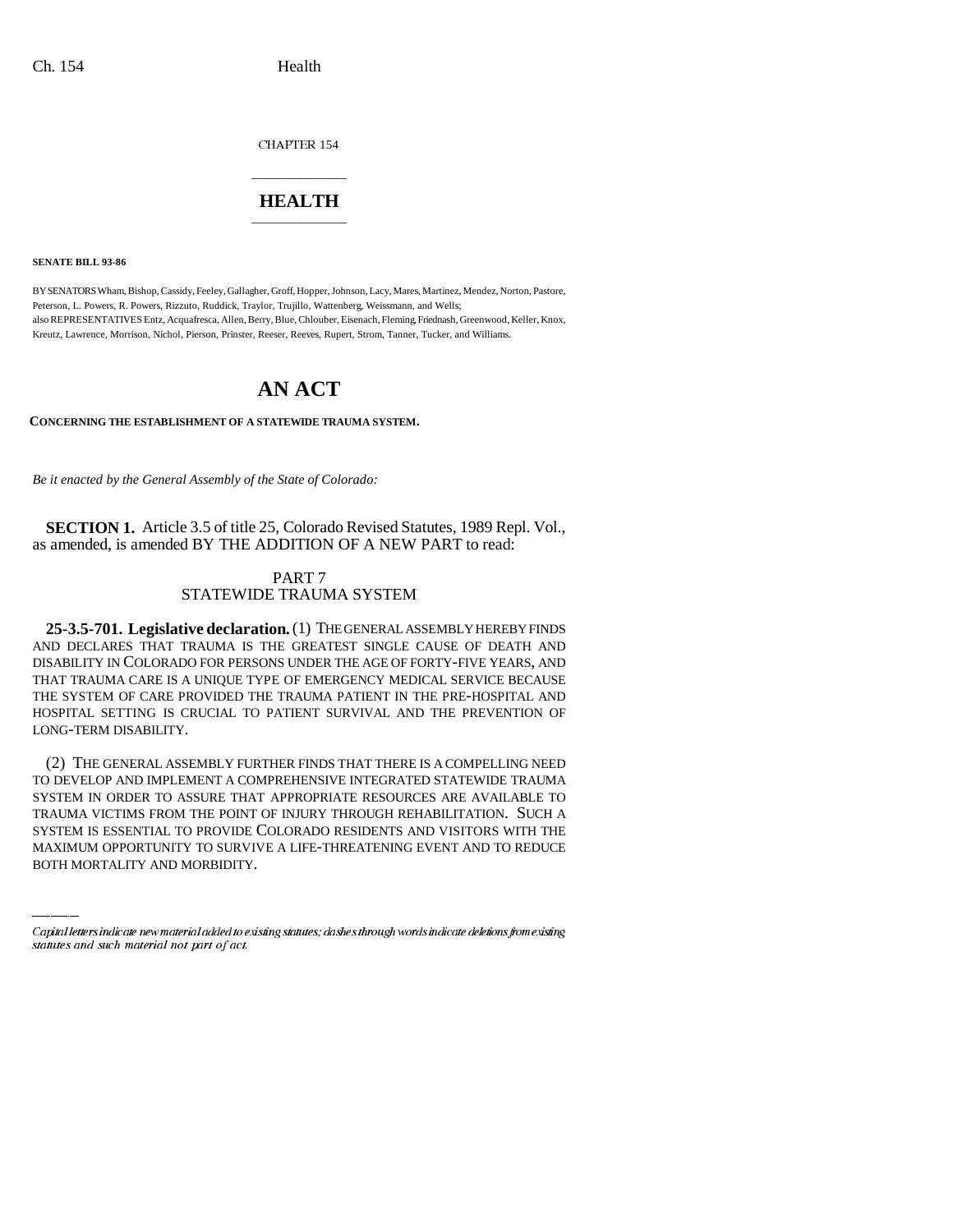CHAPTER 154

## \_\_\_\_\_\_\_\_\_\_\_\_\_\_\_ **HEALTH** \_\_\_\_\_\_\_\_\_\_\_\_\_\_\_

**SENATE BILL 93-86**

BY SENATORS Wham, Bishop, Cassidy, Feeley, Gallagher, Groff, Hopper, Johnson, Lacy, Mares, Martinez, Mendez, Norton, Pastore, Peterson, L. Powers, R. Powers, Rizzuto, Ruddick, Traylor, Trujillo, Wattenberg, Weissmann, and Wells; also REPRESENTATIVES Entz, Acquafresca, Allen, Berry, Blue, Chlouber, Eisenach, Fleming, Friednash, Greenwood, Keller, Knox, Kreutz, Lawrence, Morrison, Nichol, Pierson, Prinster, Reeser, Reeves, Rupert, Strom, Tanner, Tucker, and Williams.

## **AN ACT**

**CONCERNING THE ESTABLISHMENT OF A STATEWIDE TRAUMA SYSTEM.**

*Be it enacted by the General Assembly of the State of Colorado:*

**SECTION 1.** Article 3.5 of title 25, Colorado Revised Statutes, 1989 Repl. Vol., as amended, is amended BY THE ADDITION OF A NEW PART to read:

## PART 7 STATEWIDE TRAUMA SYSTEM

**25-3.5-701. Legislative declaration.** (1) THE GENERAL ASSEMBLY HEREBY FINDS AND DECLARES THAT TRAUMA IS THE GREATEST SINGLE CAUSE OF DEATH AND DISABILITY IN COLORADO FOR PERSONS UNDER THE AGE OF FORTY-FIVE YEARS, AND THAT TRAUMA CARE IS A UNIQUE TYPE OF EMERGENCY MEDICAL SERVICE BECAUSE THE SYSTEM OF CARE PROVIDED THE TRAUMA PATIENT IN THE PRE-HOSPITAL AND HOSPITAL SETTING IS CRUCIAL TO PATIENT SURVIVAL AND THE PREVENTION OF LONG-TERM DISABILITY.

SYSTEM IN ORDER TO ASSURE THAT APPROPRIATE RESOURCES ARE AVAILABLE TO (2) THE GENERAL ASSEMBLY FURTHER FINDS THAT THERE IS A COMPELLING NEED TO DEVELOP AND IMPLEMENT A COMPREHENSIVE INTEGRATED STATEWIDE TRAUMA TRAUMA VICTIMS FROM THE POINT OF INJURY THROUGH REHABILITATION. SUCH A SYSTEM IS ESSENTIAL TO PROVIDE COLORADO RESIDENTS AND VISITORS WITH THE MAXIMUM OPPORTUNITY TO SURVIVE A LIFE-THREATENING EVENT AND TO REDUCE BOTH MORTALITY AND MORBIDITY.

Capital letters indicate new material added to existing statutes; dashes through words indicate deletions from existing statutes and such material not part of act.